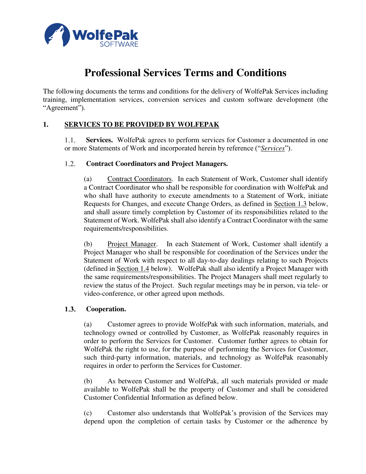

# **Professional Services Terms and Conditions**

The following documents the terms and conditions for the delivery of WolfePak Services including training, implementation services, conversion services and custom software development (the "Agreement").

# **1. SERVICES TO BE PROVIDED BY WOLFEPAK**

**Services.** WolfePak agrees to perform services for Customer a documented in one  $1.1.$ or more Statements of Work and incorporated herein by reference ("*Services*").

#### $1.2.$ **Contract Coordinators and Project Managers.**

(a) Contract Coordinators. In each Statement of Work, Customer shall identify a Contract Coordinator who shall be responsible for coordination with WolfePak and who shall have authority to execute amendments to a Statement of Work, initiate Requests for Changes, and execute Change Orders, as defined in **Section 1.3** below, and shall assure timely completion by Customer of its responsibilities related to the Statement of Work. WolfePak shall also identify a Contract Coordinator with the same requirements/responsibilities.

(b) Project Manager. In each Statement of Work, Customer shall identify a Project Manager who shall be responsible for coordination of the Services under the Statement of Work with respect to all day-to-day dealings relating to such Projects (defined in Section 1.4 below). WolfePak shall also identify a Project Manager with the same requirements/responsibilities. The Project Managers shall meet regularly to review the status of the Project. Such regular meetings may be in person, via tele- or video-conference, or other agreed upon methods.

#### $1.3.$ **Cooperation.**

(a) Customer agrees to provide WolfePak with such information, materials, and technology owned or controlled by Customer, as WolfePak reasonably requires in order to perform the Services for Customer. Customer further agrees to obtain for WolfePak the right to use, for the purpose of performing the Services for Customer, such third-party information, materials, and technology as WolfePak reasonably requires in order to perform the Services for Customer.

(b) As between Customer and WolfePak, all such materials provided or made available to WolfePak shall be the property of Customer and shall be considered Customer Confidential Information as defined below.

(c) Customer also understands that WolfePak's provision of the Services may depend upon the completion of certain tasks by Customer or the adherence by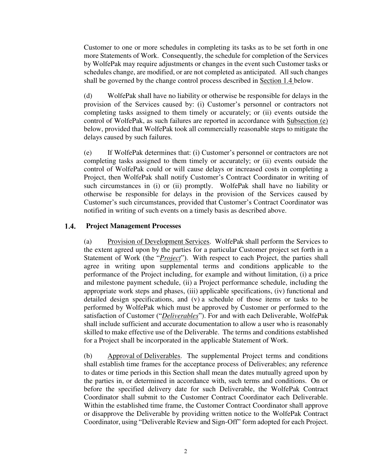Customer to one or more schedules in completing its tasks as to be set forth in one more Statements of Work. Consequently, the schedule for completion of the Services by WolfePak may require adjustments or changes in the event such Customer tasks or schedules change, are modified, or are not completed as anticipated. All such changes shall be governed by the change control process described in Section 1.4 below.

(d) WolfePak shall have no liability or otherwise be responsible for delays in the provision of the Services caused by: (i) Customer's personnel or contractors not completing tasks assigned to them timely or accurately; or (ii) events outside the control of WolfePak, as such failures are reported in accordance with Subsection (e) below, provided that WolfePak took all commercially reasonable steps to mitigate the delays caused by such failures.

(e) If WolfePak determines that: (i) Customer's personnel or contractors are not completing tasks assigned to them timely or accurately; or (ii) events outside the control of WolfePak could or will cause delays or increased costs in completing a Project, then WolfePak shall notify Customer's Contract Coordinator in writing of such circumstances in (i) or (ii) promptly. WolfePak shall have no liability or otherwise be responsible for delays in the provision of the Services caused by Customer's such circumstances, provided that Customer's Contract Coordinator was notified in writing of such events on a timely basis as described above.

#### $1.4.$ **Project Management Processes**

(a) Provision of Development Services. WolfePak shall perform the Services to the extent agreed upon by the parties for a particular Customer project set forth in a Statement of Work (the "*Project*"). With respect to each Project, the parties shall agree in writing upon supplemental terms and conditions applicable to the performance of the Project including, for example and without limitation, (i) a price and milestone payment schedule, (ii) a Project performance schedule, including the appropriate work steps and phases, (iii) applicable specifications, (iv) functional and detailed design specifications, and (v) a schedule of those items or tasks to be performed by WolfePak which must be approved by Customer or performed to the satisfaction of Customer ("*Deliverables*"). For and with each Deliverable, WolfePak shall include sufficient and accurate documentation to allow a user who is reasonably skilled to make effective use of the Deliverable. The terms and conditions established for a Project shall be incorporated in the applicable Statement of Work.

(b) Approval of Deliverables. The supplemental Project terms and conditions shall establish time frames for the acceptance process of Deliverables; any reference to dates or time periods in this Section shall mean the dates mutually agreed upon by the parties in, or determined in accordance with, such terms and conditions. On or before the specified delivery date for such Deliverable, the WolfePak Contract Coordinator shall submit to the Customer Contract Coordinator each Deliverable. Within the established time frame, the Customer Contract Coordinator shall approve or disapprove the Deliverable by providing written notice to the WolfePak Contract Coordinator, using "Deliverable Review and Sign-Off" form adopted for each Project.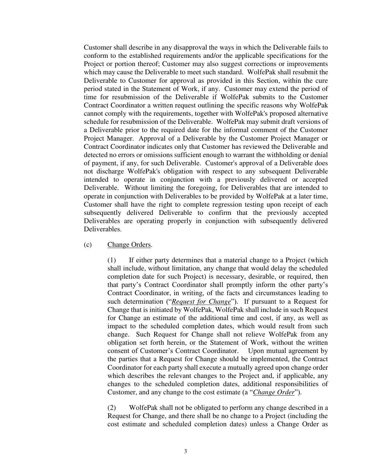Customer shall describe in any disapproval the ways in which the Deliverable fails to conform to the established requirements and/or the applicable specifications for the Project or portion thereof; Customer may also suggest corrections or improvements which may cause the Deliverable to meet such standard. WolfePak shall resubmit the Deliverable to Customer for approval as provided in this Section, within the cure period stated in the Statement of Work, if any. Customer may extend the period of time for resubmission of the Deliverable if WolfePak submits to the Customer Contract Coordinator a written request outlining the specific reasons why WolfePak cannot comply with the requirements, together with WolfePak's proposed alternative schedule for resubmission of the Deliverable. WolfePak may submit draft versions of a Deliverable prior to the required date for the informal comment of the Customer Project Manager. Approval of a Deliverable by the Customer Project Manager or Contract Coordinator indicates only that Customer has reviewed the Deliverable and detected no errors or omissions sufficient enough to warrant the withholding or denial of payment, if any, for such Deliverable. Customer's approval of a Deliverable does not discharge WolfePak's obligation with respect to any subsequent Deliverable intended to operate in conjunction with a previously delivered or accepted Deliverable. Without limiting the foregoing, for Deliverables that are intended to operate in conjunction with Deliverables to be provided by WolfePak at a later time, Customer shall have the right to complete regression testing upon receipt of each subsequently delivered Deliverable to confirm that the previously accepted Deliverables are operating properly in conjunction with subsequently delivered Deliverables.

### (c) Change Orders.

(1) If either party determines that a material change to a Project (which shall include, without limitation, any change that would delay the scheduled completion date for such Project) is necessary, desirable, or required, then that party's Contract Coordinator shall promptly inform the other party's Contract Coordinator, in writing, of the facts and circumstances leading to such determination ("*Request for Change*"). If pursuant to a Request for Change that is initiated by WolfePak, WolfePak shall include in such Request for Change an estimate of the additional time and cost, if any, as well as impact to the scheduled completion dates, which would result from such change. Such Request for Change shall not relieve WolfePak from any obligation set forth herein, or the Statement of Work, without the written consent of Customer's Contract Coordinator. Upon mutual agreement by the parties that a Request for Change should be implemented, the Contract Coordinator for each party shall execute a mutually agreed upon change order which describes the relevant changes to the Project and, if applicable, any changes to the scheduled completion dates, additional responsibilities of Customer, and any change to the cost estimate (a "*Change Order*").

(2) WolfePak shall not be obligated to perform any change described in a Request for Change, and there shall be no change to a Project (including the cost estimate and scheduled completion dates) unless a Change Order as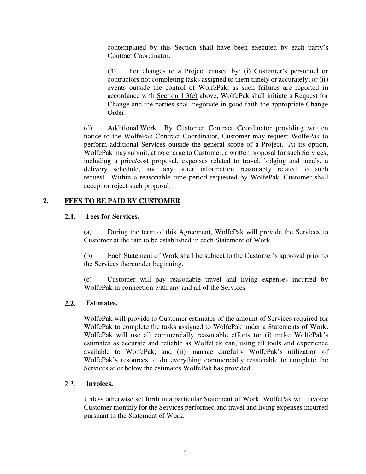contemplated by this Section shall have been executed by each party's Contract Coordinator.

(3) For changes to a Project caused by: (i) Customer's personnel or contractors not completing tasks assigned to them timely or accurately; or (ii) events outside the control of WolfePak, as such failures are reported in accordance with Section 1.3(e) above, WolfePak shall initiate a Request for Change and the parties shall negotiate in good faith the appropriate Change Order.

(d) Additional Work. By Customer Contract Coordinator providing written notice to the WolfePak Contract Coordinator, Customer may request WolfePak to perform additional Services outside the general scope of a Project. At its option, WolfePak may submit, at no charge to Customer, a written proposal for such Services, including a price/cost proposal, expenses related to travel, lodging and meals, a delivery schedule, and any other information reasonably related to such request. Within a reasonable time period requested by WolfePak, Customer shall accept or reject such proposal.

# **2. FEES TO BE PAID BY CUSTOMER**

#### $2.1.$ **Fees for Services.**

(a) During the term of this Agreement, WolfePak will provide the Services to Customer at the rate to be established in each Statement of Work.

(b) Each Statement of Work shall be subject to the Customer's approval prior to the Services thereunder beginning.

(c) Customer will pay reasonable travel and living expenses incurred by WolfePak in connection with any and all of the Services.

#### $2.2.$ **Estimates.**

WolfePak will provide to Customer estimates of the amount of Services required for WolfePak to complete the tasks assigned to WolfePak under a Statements of Work. WolfePak will use all commercially reasonable efforts to: (i) make WolfePak's estimates as accurate and reliable as WolfePak can, using all tools and experience available to WolfePak; and (ii) manage carefully WolfePak's utilization of WolfePak's resources to do everything commercially reasonable to complete the Services at or below the estimates WolfePak has provided.

#### $2.3.$ **Invoices.**

Unless otherwise set forth in a particular Statement of Work, WolfePak will invoice Customer monthly for the Services performed and travel and living expenses incurred pursuant to the Statement of Work.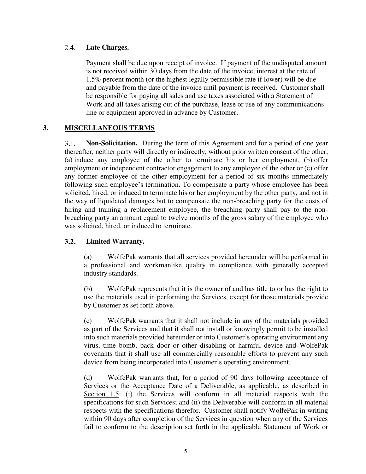#### $2.4.$ **Late Charges.**

Payment shall be due upon receipt of invoice. If payment of the undisputed amount is not received within 30 days from the date of the invoice, interest at the rate of 1.5% percent month (or the highest legally permissible rate if lower) will be due and payable from the date of the invoice until payment is received. Customer shall be responsible for paying all sales and use taxes associated with a Statement of Work and all taxes arising out of the purchase, lease or use of any communications line or equipment approved in advance by Customer.

## **3. MISCELLANEOUS TERMS**

**Non-Solicitation.** During the term of this Agreement and for a period of one year  $3.1.$ thereafter, neither party will directly or indirectly, without prior written consent of the other, (a) induce any employee of the other to terminate his or her employment, (b) offer employment or independent contractor engagement to any employee of the other or (c) offer any former employee of the other employment for a period of six months immediately following such employee's termination. To compensate a party whose employee has been solicited, hired, or induced to terminate his or her employment by the other party, and not in the way of liquidated damages but to compensate the non-breaching party for the costs of hiring and training a replacement employee, the breaching party shall pay to the nonbreaching party an amount equal to twelve months of the gross salary of the employee who was solicited, hired, or induced to terminate.

#### $3.2.$ **Limited Warranty.**

(a) WolfePak warrants that all services provided hereunder will be performed in a professional and workmanlike quality in compliance with generally accepted industry standards.

(b) WolfePak represents that it is the owner of and has title to or has the right to use the materials used in performing the Services, except for those materials provide by Customer as set forth above.

(c) WolfePak warrants that it shall not include in any of the materials provided as part of the Services and that it shall not install or knowingly permit to be installed into such materials provided hereunder or into Customer's operating environment any virus, time bomb, back door or other disabling or harmful device and WolfePak covenants that it shall use all commercially reasonable efforts to prevent any such device from being incorporated into Customer's operating environment.

(d) WolfePak warrants that, for a period of 90 days following acceptance of Services or the Acceptance Date of a Deliverable, as applicable, as described in Section 1.5: (i) the Services will conform in all material respects with the specifications for such Services; and (ii) the Deliverable will conform in all material respects with the specifications therefor. Customer shall notify WolfePak in writing within 90 days after completion of the Services in question when any of the Services fail to conform to the description set forth in the applicable Statement of Work or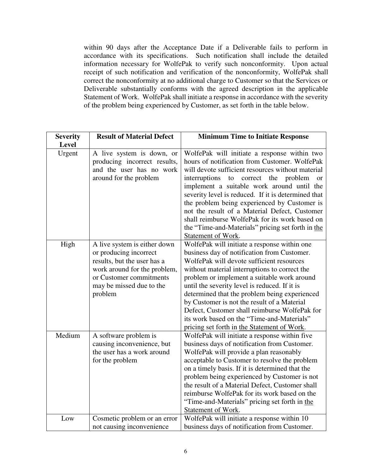within 90 days after the Acceptance Date if a Deliverable fails to perform in accordance with its specifications. Such notification shall include the detailed information necessary for WolfePak to verify such nonconformity. Upon actual receipt of such notification and verification of the nonconformity, WolfePak shall correct the nonconformity at no additional charge to Customer so that the Services or Deliverable substantially conforms with the agreed description in the applicable Statement of Work. WolfePak shall initiate a response in accordance with the severity of the problem being experienced by Customer, as set forth in the table below.

| <b>Minimum Time to Initiate Response</b>                                                      |
|-----------------------------------------------------------------------------------------------|
|                                                                                               |
| WolfePak will initiate a response within two<br>hours of notification from Customer. WolfePak |
| will devote sufficient resources without material                                             |
| problem                                                                                       |
| <b>or</b><br>implement a suitable work around until the                                       |
| severity level is reduced. If it is determined that                                           |
| the problem being experienced by Customer is                                                  |
| not the result of a Material Defect, Customer                                                 |
| shall reimburse WolfePak for its work based on                                                |
| the "Time-and-Materials" pricing set forth in the                                             |
|                                                                                               |
| WolfePak will initiate a response within one                                                  |
| business day of notification from Customer.                                                   |
| WolfePak will devote sufficient resources                                                     |
| without material interruptions to correct the                                                 |
| problem or implement a suitable work around                                                   |
| until the severity level is reduced. If it is                                                 |
| determined that the problem being experienced                                                 |
| by Customer is not the result of a Material                                                   |
| Defect, Customer shall reimburse WolfePak for                                                 |
| its work based on the "Time-and-Materials"                                                    |
| pricing set forth in the Statement of Work.                                                   |
| WolfePak will initiate a response within five                                                 |
| business days of notification from Customer.                                                  |
| WolfePak will provide a plan reasonably                                                       |
| acceptable to Customer to resolve the problem                                                 |
| on a timely basis. If it is determined that the                                               |
| problem being experienced by Customer is not                                                  |
| the result of a Material Defect, Customer shall                                               |
| reimburse WolfePak for its work based on the                                                  |
| "Time-and-Materials" pricing set forth in the                                                 |
| WolfePak will initiate a response within 10                                                   |
| business days of notification from Customer.                                                  |
|                                                                                               |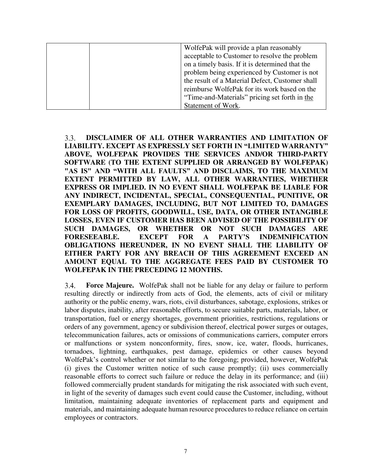| WolfePak will provide a plan reasonably         |
|-------------------------------------------------|
| acceptable to Customer to resolve the problem   |
| on a timely basis. If it is determined that the |
| problem being experienced by Customer is not    |
| the result of a Material Defect, Customer shall |
| reimburse WolfePak for its work based on the    |
| "Time-and-Materials" pricing set forth in the   |
| Statement of Work.                              |

 $3.3.$ **DISCLAIMER OF ALL OTHER WARRANTIES AND LIMITATION OF LIABILITY. EXCEPT AS EXPRESSLY SET FORTH IN "LIMITED WARRANTY" ABOVE, WOLFEPAK PROVIDES THE SERVICES AND/OR THIRD-PARTY SOFTWARE (TO THE EXTENT SUPPLIED OR ARRANGED BY WOLFEPAK) "AS IS" AND "WITH ALL FAULTS" AND DISCLAIMS, TO THE MAXIMUM EXTENT PERMITTED BY LAW, ALL OTHER WARRANTIES, WHETHER EXPRESS OR IMPLIED. IN NO EVENT SHALL WOLFEPAK BE LIABLE FOR ANY INDIRECT, INCIDENTAL, SPECIAL, CONSEQUENTIAL, PUNITIVE, OR EXEMPLARY DAMAGES, INCLUDING, BUT NOT LIMITED TO, DAMAGES FOR LOSS OF PROFITS, GOODWILL, USE, DATA, OR OTHER INTANGIBLE LOSSES, EVEN IF CUSTOMER HAS BEEN ADVISED OF THE POSSIBILITY OF SUCH DAMAGES, OR WHETHER OR NOT SUCH DAMAGES ARE FORESEEABLE. EXCEPT FOR A PARTY'S INDEMNIFICATION OBLIGATIONS HEREUNDER, IN NO EVENT SHALL THE LIABILITY OF EITHER PARTY FOR ANY BREACH OF THIS AGREEMENT EXCEED AN AMOUNT EQUAL TO THE AGGREGATE FEES PAID BY CUSTOMER TO WOLFEPAK IN THE PRECEDING 12 MONTHS.**

 $3.4.$ **Force Majeure.** WolfePak shall not be liable for any delay or failure to perform resulting directly or indirectly from acts of God, the elements, acts of civil or military authority or the public enemy, wars, riots, civil disturbances, sabotage, explosions, strikes or labor disputes, inability, after reasonable efforts, to secure suitable parts, materials, labor, or transportation, fuel or energy shortages, government priorities, restrictions, regulations or orders of any government, agency or subdivision thereof, electrical power surges or outages, telecommunication failures, acts or omissions of communications carriers, computer errors or malfunctions or system nonconformity, fires, snow, ice, water, floods, hurricanes, tornadoes, lightning, earthquakes, pest damage, epidemics or other causes beyond WolfePak's control whether or not similar to the foregoing; provided, however, WolfePak (i) gives the Customer written notice of such cause promptly; (ii) uses commercially reasonable efforts to correct such failure or reduce the delay in its performance; and (iii) followed commercially prudent standards for mitigating the risk associated with such event, in light of the severity of damages such event could cause the Customer, including, without limitation, maintaining adequate inventories of replacement parts and equipment and materials, and maintaining adequate human resource procedures to reduce reliance on certain employees or contractors.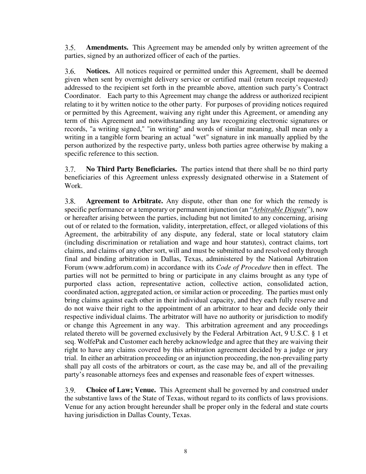$3.5.$ **Amendments.** This Agreement may be amended only by written agreement of the parties, signed by an authorized officer of each of the parties.

3.6. **Notices.** All notices required or permitted under this Agreement, shall be deemed given when sent by overnight delivery service or certified mail (return receipt requested) addressed to the recipient set forth in the preamble above, attention such party's Contract Coordinator. Each party to this Agreement may change the address or authorized recipient relating to it by written notice to the other party. For purposes of providing notices required or permitted by this Agreement, waiving any right under this Agreement, or amending any term of this Agreement and notwithstanding any law recognizing electronic signatures or records, "a writing signed," "in writing" and words of similar meaning, shall mean only a writing in a tangible form bearing an actual "wet" signature in ink manually applied by the person authorized by the respective party, unless both parties agree otherwise by making a specific reference to this section.

**No Third Party Beneficiaries.** The parties intend that there shall be no third party  $3.7.$ beneficiaries of this Agreement unless expressly designated otherwise in a Statement of Work.

 $3.8.$ **Agreement to Arbitrate.** Any dispute, other than one for which the remedy is specific performance or a temporary or permanent injunction (an "*Arbitrable Dispute*"), now or hereafter arising between the parties, including but not limited to any concerning, arising out of or related to the formation, validity, interpretation, effect, or alleged violations of this Agreement, the arbitrability of any dispute, any federal, state or local statutory claim (including discrimination or retaliation and wage and hour statutes), contract claims, tort claims, and claims of any other sort, will and must be submitted to and resolved only through final and binding arbitration in Dallas, Texas, administered by the National Arbitration Forum (www.adrforum.com) in accordance with its *Code of Procedure* then in effect. The parties will not be permitted to bring or participate in any claims brought as any type of purported class action, representative action, collective action, consolidated action, coordinated action, aggregated action, or similar action or proceeding. The parties must only bring claims against each other in their individual capacity, and they each fully reserve and do not waive their right to the appointment of an arbitrator to hear and decide only their respective individual claims. The arbitrator will have no authority or jurisdiction to modify or change this Agreement in any way. This arbitration agreement and any proceedings related thereto will be governed exclusively by the Federal Arbitration Act, 9 U.S.C. § 1 et seq. WolfePak and Customer each hereby acknowledge and agree that they are waiving their right to have any claims covered by this arbitration agreement decided by a judge or jury trial.In either an arbitration proceeding or an injunction proceeding, the non-prevailing party shall pay all costs of the arbitrators or court, as the case may be, and all of the prevailing party's reasonable attorneys fees and expenses and reasonable fees of expert witnesses.

 $3.9.$ **Choice of Law; Venue.** This Agreement shall be governed by and construed under the substantive laws of the State of Texas, without regard to its conflicts of laws provisions. Venue for any action brought hereunder shall be proper only in the federal and state courts having jurisdiction in Dallas County, Texas.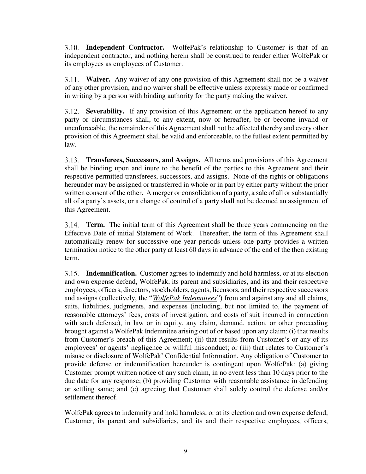**Independent Contractor.** WolfePak's relationship to Customer is that of an independent contractor, and nothing herein shall be construed to render either WolfePak or its employees as employees of Customer.

**Waiver.** Any waiver of any one provision of this Agreement shall not be a waiver of any other provision, and no waiver shall be effective unless expressly made or confirmed in writing by a person with binding authority for the party making the waiver.

**Severability.** If any provision of this Agreement or the application hereof to any party or circumstances shall, to any extent, now or hereafter, be or become invalid or unenforceable, the remainder of this Agreement shall not be affected thereby and every other provision of this Agreement shall be valid and enforceable, to the fullest extent permitted by law.

**Transferees, Successors, and Assigns.** All terms and provisions of this Agreement shall be binding upon and inure to the benefit of the parties to this Agreement and their respective permitted transferees, successors, and assigns. None of the rights or obligations hereunder may be assigned or transferred in whole or in part by either party without the prior written consent of the other. A merger or consolidation of a party, a sale of all or substantially all of a party's assets, or a change of control of a party shall not be deemed an assignment of this Agreement.

**Term.** The initial term of this Agreement shall be three years commencing on the Effective Date of initial Statement of Work. Thereafter, the term of this Agreement shall automatically renew for successive one-year periods unless one party provides a written termination notice to the other party at least 60 days in advance of the end of the then existing term.

**Indemnification.** Customer agrees to indemnify and hold harmless, or at its election and own expense defend, WolfePak, its parent and subsidiaries, and its and their respective employees, officers, directors, stockholders, agents, licensors, and their respective successors and assigns (collectively, the "*WolfePak Indemnitees*") from and against any and all claims, suits, liabilities, judgments, and expenses (including, but not limited to, the payment of reasonable attorneys' fees, costs of investigation, and costs of suit incurred in connection with such defense), in law or in equity, any claim, demand, action, or other proceeding brought against a WolfePak Indemnitee arising out of or based upon any claim: (i) that results from Customer's breach of this Agreement; (ii) that results from Customer's or any of its employees' or agents' negligence or willful misconduct; or (iii) that relates to Customer's misuse or disclosure of WolfePak' Confidential Information. Any obligation of Customer to provide defense or indemnification hereunder is contingent upon WolfePak: (a) giving Customer prompt written notice of any such claim, in no event less than 10 days prior to the due date for any response; (b) providing Customer with reasonable assistance in defending or settling same; and (c) agreeing that Customer shall solely control the defense and/or settlement thereof.

WolfePak agrees to indemnify and hold harmless, or at its election and own expense defend, Customer, its parent and subsidiaries, and its and their respective employees, officers,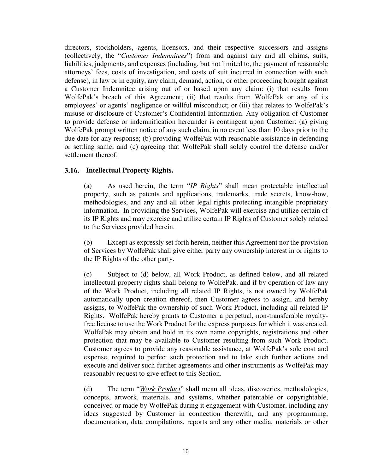directors, stockholders, agents, licensors, and their respective successors and assigns (collectively, the "*Customer Indemnitees*") from and against any and all claims, suits, liabilities, judgments, and expenses (including, but not limited to, the payment of reasonable attorneys' fees, costs of investigation, and costs of suit incurred in connection with such defense), in law or in equity, any claim, demand, action, or other proceeding brought against a Customer Indemnitee arising out of or based upon any claim: (i) that results from WolfePak's breach of this Agreement; (ii) that results from WolfePak or any of its employees' or agents' negligence or willful misconduct; or (iii) that relates to WolfePak's misuse or disclosure of Customer's Confidential Information. Any obligation of Customer to provide defense or indemnification hereunder is contingent upon Customer: (a) giving WolfePak prompt written notice of any such claim, in no event less than 10 days prior to the due date for any response; (b) providing WolfePak with reasonable assistance in defending or settling same; and (c) agreeing that WolfePak shall solely control the defense and/or settlement thereof.

### **Intellectual Property Rights.**

(a) As used herein, the term "*IP Rights*" shall mean protectable intellectual property, such as patents and applications, trademarks, trade secrets, know-how, methodologies, and any and all other legal rights protecting intangible proprietary information. In providing the Services, WolfePak will exercise and utilize certain of its IP Rights and may exercise and utilize certain IP Rights of Customer solely related to the Services provided herein.

(b) Except as expressly set forth herein, neither this Agreement nor the provision of Services by WolfePak shall give either party any ownership interest in or rights to the IP Rights of the other party.

(c) Subject to (d) below, all Work Product, as defined below, and all related intellectual property rights shall belong to WolfePak, and if by operation of law any of the Work Product, including all related IP Rights, is not owned by WolfePak automatically upon creation thereof, then Customer agrees to assign, and hereby assigns, to WolfePak the ownership of such Work Product, including all related IP Rights. WolfePak hereby grants to Customer a perpetual, non-transferable royaltyfree license to use the Work Product for the express purposes for which it was created. WolfePak may obtain and hold in its own name copyrights, registrations and other protection that may be available to Customer resulting from such Work Product. Customer agrees to provide any reasonable assistance, at WolfePak's sole cost and expense, required to perfect such protection and to take such further actions and execute and deliver such further agreements and other instruments as WolfePak may reasonably request to give effect to this Section.

(d) The term "*Work Product*" shall mean all ideas, discoveries, methodologies, concepts, artwork, materials, and systems, whether patentable or copyrightable, conceived or made by WolfePak during it engagement with Customer, including any ideas suggested by Customer in connection therewith, and any programming, documentation, data compilations, reports and any other media, materials or other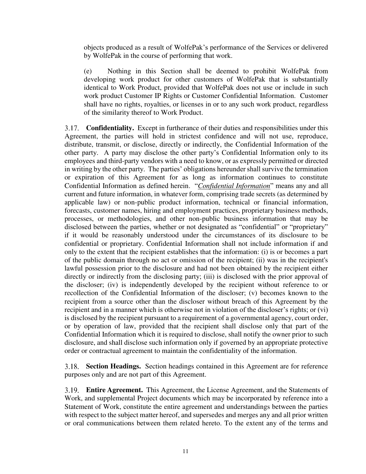objects produced as a result of WolfePak's performance of the Services or delivered by WolfePak in the course of performing that work.

(e) Nothing in this Section shall be deemed to prohibit WolfePak from developing work product for other customers of WolfePak that is substantially identical to Work Product, provided that WolfePak does not use or include in such work product Customer IP Rights or Customer Confidential Information. Customer shall have no rights, royalties, or licenses in or to any such work product, regardless of the similarity thereof to Work Product.

**Confidentiality.** Except in furtherance of their duties and responsibilities under this Agreement, the parties will hold in strictest confidence and will not use, reproduce, distribute, transmit, or disclose, directly or indirectly, the Confidential Information of the other party. A party may disclose the other party's Confidential Information only to its employees and third-party vendors with a need to know, or as expressly permitted or directed in writing by the other party. The parties' obligations hereunder shall survive the termination or expiration of this Agreement for as long as information continues to constitute Confidential Information as defined herein. "*Confidential Information*" means any and all current and future information, in whatever form, comprising trade secrets (as determined by applicable law) or non-public product information, technical or financial information, forecasts, customer names, hiring and employment practices, proprietary business methods, processes, or methodologies, and other non-public business information that may be disclosed between the parties, whether or not designated as "confidential" or "proprietary" if it would be reasonably understood under the circumstances of its disclosure to be confidential or proprietary. Confidential Information shall not include information if and only to the extent that the recipient establishes that the information: (i) is or becomes a part of the public domain through no act or omission of the recipient; (ii) was in the recipient's lawful possession prior to the disclosure and had not been obtained by the recipient either directly or indirectly from the disclosing party; (iii) is disclosed with the prior approval of the discloser; (iv) is independently developed by the recipient without reference to or recollection of the Confidential Information of the discloser; (v) becomes known to the recipient from a source other than the discloser without breach of this Agreement by the recipient and in a manner which is otherwise not in violation of the discloser's rights; or (vi) is disclosed by the recipient pursuant to a requirement of a governmental agency, court order, or by operation of law, provided that the recipient shall disclose only that part of the Confidential Information which it is required to disclose, shall notify the owner prior to such disclosure, and shall disclose such information only if governed by an appropriate protective order or contractual agreement to maintain the confidentiality of the information.

**Section Headings.** Section headings contained in this Agreement are for reference purposes only and are not part of this Agreement.

**Entire Agreement.** This Agreement, the License Agreement, and the Statements of Work, and supplemental Project documents which may be incorporated by reference into a Statement of Work, constitute the entire agreement and understandings between the parties with respect to the subject matter hereof, and supersedes and merges any and all prior written or oral communications between them related hereto. To the extent any of the terms and